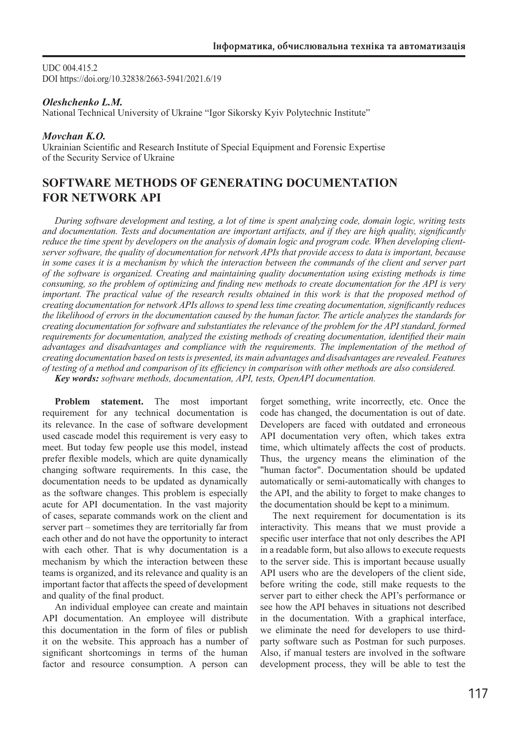UDC 004.415.2 DOI https://doi.org/10.32838/2663-5941/2021.6/19

## *Oleshchenko L.M.*

National Technical University of Ukraine "Igor Sikorsky Kyiv Polytechnic Institute"

## *Movchan K.О.*

Ukrainian Scientific and Research Institute of Special Equipment and Forensic Expertise of the Security Service of Ukraine

# **SOFTWARE METHODS OF GENERATING DOCUMENTATION FOR NETWORK АРІ**

*During software development and testing, a lot of time is spent analyzing code, domain logic, writing tests and documentation. Tests and documentation are important artifacts, and if they are high quality, significantly reduce the time spent by developers on the analysis of domain logic and program code. When developing clientserver software, the quality of documentation for network APIs that provide access to data is important, because in some cases it is a mechanism by which the interaction between the commands of the client and server part of the software is organized. Creating and maintaining quality documentation using existing methods is time consuming, so the problem of optimizing and finding new methods to create documentation for the API is very important. The practical value of the research results obtained in this work is that the proposed method of creating documentation for network APIs allows to spend less time creating documentation, significantly reduces the likelihood of errors in the documentation caused by the human factor. The article analyzes the standards for creating documentation for software and substantiates the relevance of the problem for the API standard, formed requirements for documentation, analyzed the existing methods of creating documentation, identified their main advantages and disadvantages and compliance with the requirements. The implementation of the method of creating documentation based on tests is presented, its main advantages and disadvantages are revealed. Features of testing of a method and comparison of its efficiency in comparison with other methods are also considered. Key words: software methods, documentation, API, tests, OpenAPI documentation.*

**Problem statement.** The most important requirement for any technical documentation is its relevance. In the case of software development used cascade model this requirement is very easy to meet. But today few people use this model, instead prefer flexible models, which are quite dynamically changing software requirements. In this case, the documentation needs to be updated as dynamically as the software changes. This problem is especially acute for API documentation. In the vast majority of cases, separate commands work on the client and server part – sometimes they are territorially far from each other and do not have the opportunity to interact with each other. That is why documentation is a mechanism by which the interaction between these teams is organized, and its relevance and quality is an important factor that affects the speed of development and quality of the final product.

An individual employee can create and maintain API documentation. An employee will distribute this documentation in the form of files or publish it on the website. This approach has a number of significant shortcomings in terms of the human factor and resource consumption. A person can

forget something, write incorrectly, etc. Once the code has changed, the documentation is out of date. Developers are faced with outdated and erroneous API documentation very often, which takes extra time, which ultimately affects the cost of products. Thus, the urgency means the elimination of the "human factor". Documentation should be updated automatically or semi-automatically with changes to the API, and the ability to forget to make changes to the documentation should be kept to a minimum.

The next requirement for documentation is its interactivity. This means that we must provide a specific user interface that not only describes the API in a readable form, but also allows to execute requests to the server side. This is important because usually API users who are the developers of the client side, before writing the code, still make requests to the server part to either check the API's performance or see how the API behaves in situations not described in the documentation. With a graphical interface, we eliminate the need for developers to use thirdparty software such as Postman for such purposes. Also, if manual testers are involved in the software development process, they will be able to test the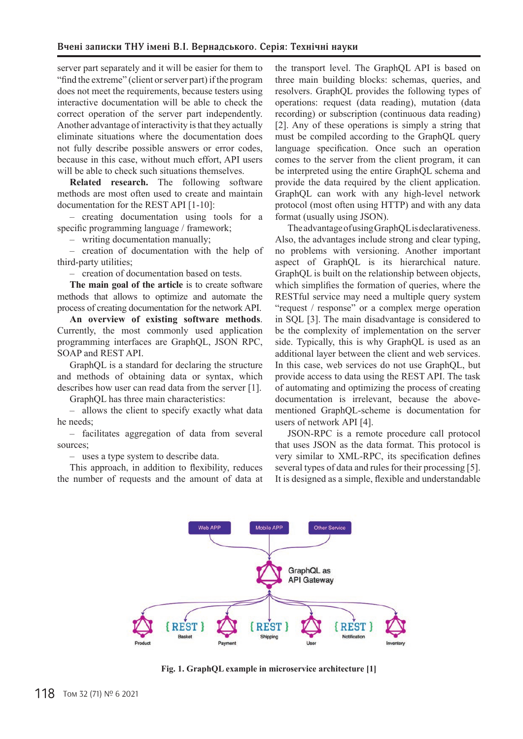server part separately and it will be easier for them to "find the extreme" (client or server part) if the program does not meet the requirements, because testers using interactive documentation will be able to check the correct operation of the server part independently. Another advantage of interactivity is that they actually eliminate situations where the documentation does not fully describe possible answers or error codes, because in this case, without much effort, API users will be able to check such situations themselves.

**Related research.** The following software methods are most often used to create and maintain documentation for the REST API [1-10]:

– creating documentation using tools for a specific programming language / framework;

– writing documentation manually;

– creation of documentation with the help of third-party utilities;

– creation of documentation based on tests.

**The main goal of the article** is to create software methods that allows to optimize and automate the process of creating documentation for the network API.

**An overview of existing software methods**. Currently, the most commonly used application programming interfaces are GraphQL, JSON RPC, SOAP and REST API.

GraphQL is a standard for declaring the structure and methods of obtaining data or syntax, which describes how user can read data from the server [1].

GraphQL has three main characteristics:

– allows the client to specify exactly what data he needs;

– facilitates aggregation of data from several sources;

– uses a type system to describe data.

This approach, in addition to flexibility, reduces the number of requests and the amount of data at

the transport level. The GraphQL API is based on three main building blocks: schemas, queries, and resolvers. GraphQL provides the following types of operations: request (data reading), mutation (data recording) or subscription (continuous data reading) [2]. Any of these operations is simply a string that must be compiled according to the GraphQL query language specification. Once such an operation comes to the server from the client program, it can be interpreted using the entire GraphQL schema and provide the data required by the client application. GraphQL can work with any high-level network protocol (most often using HTTP) and with any data format (usually using JSON).

The advantage of using GraphQL is declarativeness. Also, the advantages include strong and clear typing, no problems with versioning. Another important aspect of GraphQL is its hierarchical nature. GraphQL is built on the relationship between objects, which simplifies the formation of queries, where the RESTful service may need a multiple query system "request / response" or a complex merge operation in SQL [3]. The main disadvantage is considered to be the complexity of implementation on the server side. Typically, this is why GraphQL is used as an additional layer between the client and web services. In this case, web services do not use GraphQL, but provide access to data using the REST API. The task of automating and optimizing the process of creating documentation is irrelevant, because the abovementioned GraphQL-scheme is documentation for users of network АРІ [4].

JSON-RPC is a remote procedure call protocol that uses JSON as the data format. This protocol is very similar to XML-RPC, its specification defines several types of data and rules for their processing [5]. It is designed as a simple, flexible and understandable



**Fig. 1. GraphQL example in microservice architecture [1]**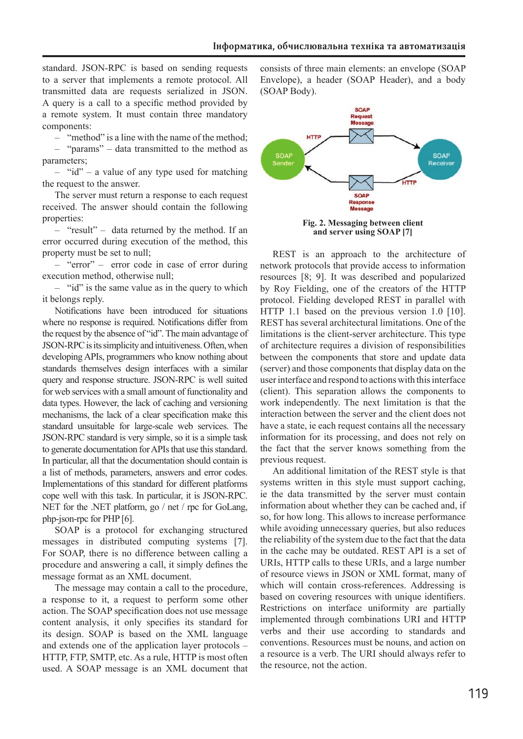standard. JSON-RPC is based on sending requests to a server that implements a remote protocol. All transmitted data are requests serialized in JSON. A query is a call to a specific method provided by a remote system. It must contain three mandatory components:

– "method" is a line with the name of the method; – "params" – data transmitted to the method as parameters;

 $-$  "id" – a value of any type used for matching the request to the answer.

The server must return a response to each request received. The answer should contain the following properties:

– "result" – data returned by the method. If an error occurred during execution of the method, this property must be set to null;

– "error" – error code in case of error during execution method, otherwise null;

– "id" is the same value as in the query to which it belongs reply.

Notifications have been introduced for situations where no response is required. Notifications differ from the request by the absence of "id". The main advantage of JSON-RPC is its simplicity and intuitiveness. Often, when developing APIs, programmers who know nothing about standards themselves design interfaces with a similar query and response structure. JSON-RPC is well suited for web services with a small amount of functionality and data types. However, the lack of caching and versioning mechanisms, the lack of a clear specification make this standard unsuitable for large-scale web services. The JSON-RPC standard is very simple, so it is a simple task to generate documentation for APIs that use this standard. In particular, all that the documentation should contain is a list of methods, parameters, answers and error codes. Implementations of this standard for different platforms cope well with this task. In particular, it is JSON-RPC. NET for the .NET platform, go / net / rpc for GoLang, php-json-rpc for PHP [6].

SOAP is a protocol for exchanging structured messages in distributed computing systems [7]. For SOAP, there is no difference between calling a procedure and answering a call, it simply defines the message format as an XML document.

The message may contain a call to the procedure, a response to it, a request to perform some other action. The SOAP specification does not use message content analysis, it only specifies its standard for its design. SOAP is based on the XML language and extends one of the application layer protocols – HTTP, FTP, SMTP, etc. As a rule, HTTP is most often used. A SOAP message is an XML document that

consists of three main elements: an envelope (SOAP Envelope), a header (SOAP Header), and a body (SOAP Body).



**Fig. 2. Messaging between client and server using SOAP [7]**

REST is an approach to the architecture of network protocols that provide access to information resources [8; 9]. It was described and popularized by Roy Fielding, one of the creators of the HTTP protocol. Fielding developed REST in parallel with HTTP 1.1 based on the previous version 1.0 [10]. REST has several architectural limitations. One of the limitations is the client-server architecture. This type of architecture requires a division of responsibilities between the components that store and update data (server) and those components that display data on the user interface and respond to actions with this interface (client). This separation allows the components to work independently. The next limitation is that the interaction between the server and the client does not have a state, ie each request contains all the necessary information for its processing, and does not rely on the fact that the server knows something from the previous request.

An additional limitation of the REST style is that systems written in this style must support caching, ie the data transmitted by the server must contain information about whether they can be cached and, if so, for how long. This allows to increase performance while avoiding unnecessary queries, but also reduces the reliability of the system due to the fact that the data in the cache may be outdated. REST API is a set of URIs, HTTP calls to these URIs, and a large number of resource views in JSON or XML format, many of which will contain cross-references. Addressing is based on covering resources with unique identifiers. Restrictions on interface uniformity are partially implemented through combinations URI and HTTP verbs and their use according to standards and conventions. Resources must be nouns, and action on a resource is a verb. The URI should always refer to the resource, not the action.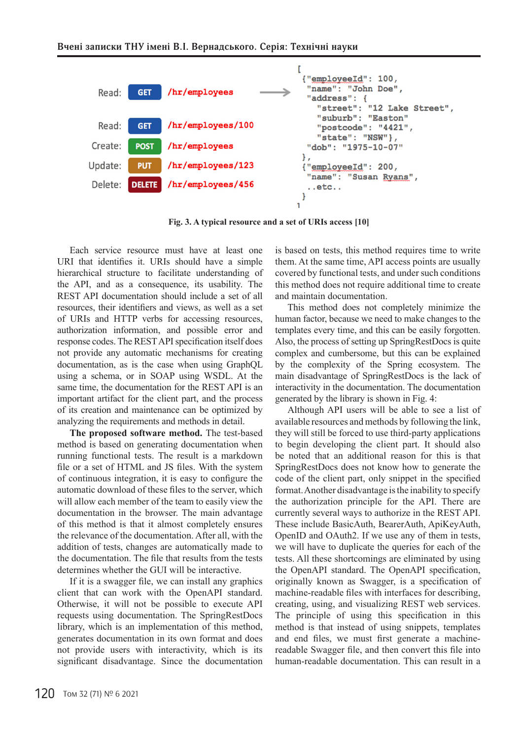

**Fig. 3. A typical resource and a set of URIs access [10]**

Each service resource must have at least one URI that identifies it. URIs should have a simple hierarchical structure to facilitate understanding of the API, and as a consequence, its usability. The REST API documentation should include a set of all resources, their identifiers and views, as well as a set of URIs and HTTP verbs for accessing resources, authorization information, and possible error and response codes. The REST API specification itself does not provide any automatic mechanisms for creating documentation, as is the case when using GraphQL using a schema, or in SOAP using WSDL. At the same time, the documentation for the REST API is an important artifact for the client part, and the process of its creation and maintenance can be optimized by analyzing the requirements and methods in detail.

**The proposed software method.** The test-based method is based on generating documentation when running functional tests. The result is a markdown file or a set of HTML and JS files. With the system of continuous integration, it is easy to configure the automatic download of these files to the server, which will allow each member of the team to easily view the documentation in the browser. The main advantage of this method is that it almost completely ensures the relevance of the documentation. After all, with the addition of tests, changes are automatically made to the documentation. The file that results from the tests determines whether the GUI will be interactive.

If it is a swagger file, we can install any graphics client that can work with the OpenAPI standard. Otherwise, it will not be possible to execute API requests using documentation. The SpringRestDocs library, which is an implementation of this method, generates documentation in its own format and does not provide users with interactivity, which is its significant disadvantage. Since the documentation

is based on tests, this method requires time to write them. At the same time, API access points are usually covered by functional tests, and under such conditions this method does not require additional time to create and maintain documentation.

This method does not completely minimize the human factor, because we need to make changes to the templates every time, and this can be easily forgotten. Also, the process of setting up SpringRestDocs is quite complex and cumbersome, but this can be explained by the complexity of the Spring ecosystem. The main disadvantage of SpringRestDocs is the lack of interactivity in the documentation. The documentation generated by the library is shown in Fig. 4:

Although API users will be able to see a list of available resources and methods by following the link, they will still be forced to use third-party applications to begin developing the client part. It should also be noted that an additional reason for this is that SpringRestDocs does not know how to generate the code of the client part, only snippet in the specified format. Another disadvantage is the inability to specify the authorization principle for the API. There are currently several ways to authorize in the REST API. These include BasicAuth, BearerAuth, ApiKeyAuth, OpenID and OAuth2. If we use any of them in tests, we will have to duplicate the queries for each of the tests. All these shortcomings are eliminated by using the OpenAPI standard. The OpenAPI specification, originally known as Swagger, is a specification of machine-readable files with interfaces for describing, creating, using, and visualizing REST web services. The principle of using this specification in this method is that instead of using snippets, templates and end files, we must first generate a machinereadable Swagger file, and then convert this file into human-readable documentation. This can result in a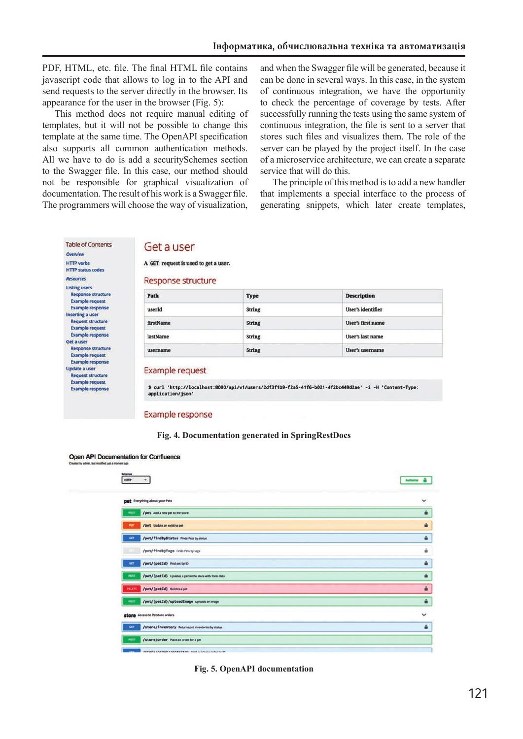PDF, HTML, etc. file. The final HTML file contains javascript code that allows to log in to the API and send requests to the server directly in the browser. Its appearance for the user in the browser (Fig. 5):

This method does not require manual editing of templates, but it will not be possible to change this template at the same time. The OpenAPI specification also supports all common authentication methods. All we have to do is add a securitySchemes section to the Swagger file. In this case, our method should not be responsible for graphical visualization of documentation. The result of his work is a Swagger file. The programmers will choose the way of visualization,

**Table of Contents** 

**HTTP status codes** Resources

> **Request structure Example request**

> **Example response**

**Listing users Response structure Example request Example response Inserting a user Request structure Example request Example response** Get a user **Response structure Example request** Example response Update a user

Overview **HTTP** verbs and when the Swagger file will be generated, because it can be done in several ways. In this case, in the system of continuous integration, we have the opportunity to check the percentage of coverage by tests. After successfully running the tests using the same system of continuous integration, the file is sent to a server that stores such files and visualizes them. The role of the server can be played by the project itself. In the case of a microservice architecture, we can create a separate service that will do this.

The principle of this method is to add a new handler that implements a special interface to the process of generating snippets, which later create templates,

## Get a user

A GET request is used to get a user.

**Response structure** 

| Path      | <b>Type</b>   | <b>Description</b>       |
|-----------|---------------|--------------------------|
| userId    | <b>String</b> | <b>User's identifier</b> |
| firstName | <b>String</b> | User's first name        |
| lastName  | <b>String</b> | User's last name         |
| username  | <b>String</b> | User's username          |

#### **Example request**

\$ curl 'http://localhost:8080/api/v1/users/2df3f1b9-f2a5-41f6-b021-4f2bc449d2ae' -i -H 'Content-Type: application/json'

**Example response** 

#### **Fig. 4. Documentation generated in SpringRestDocs**



**Fig. 5. OpenAPI documentation** 

Open API Documentation for Confluence